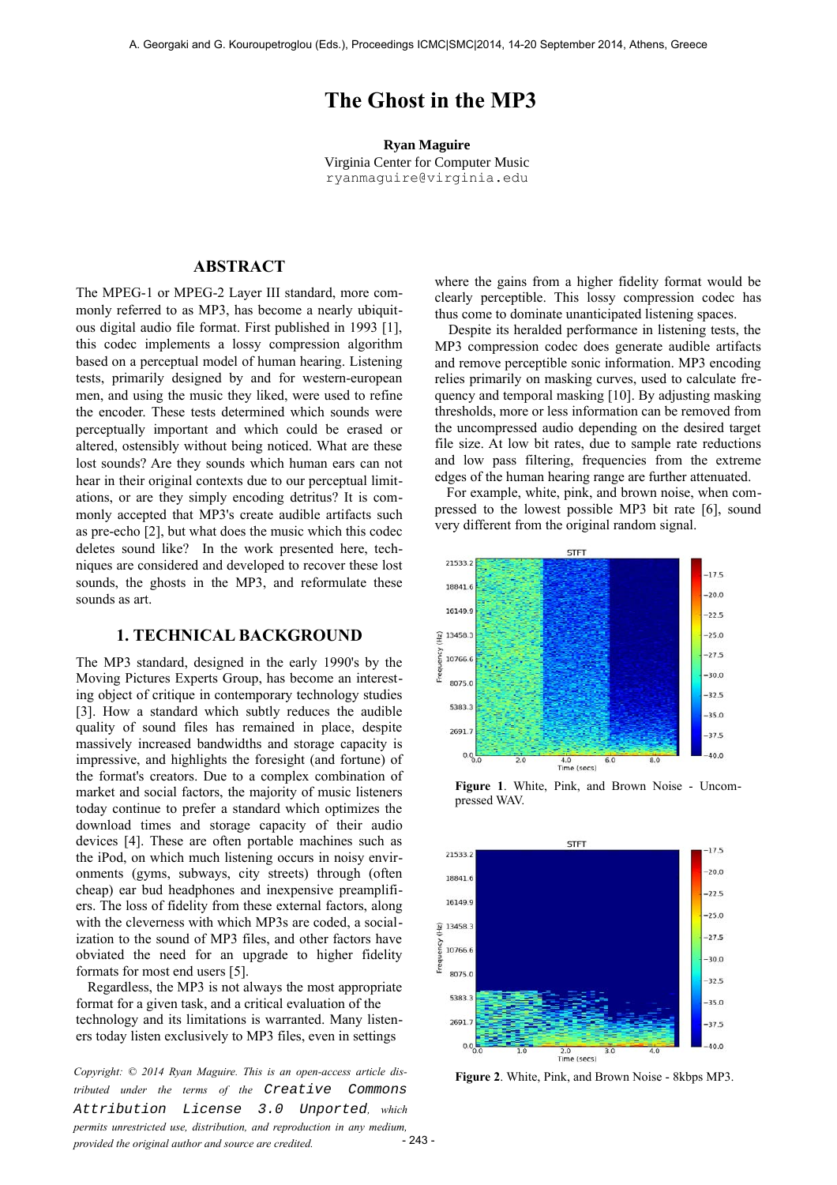# **The Ghost in the MP3**

**Ryan Maguire** Virginia Center for Computer Music ryanmaguire@virginia.edu

# **ABSTRACT**

The MPEG-1 or MPEG-2 Layer III standard, more commonly referred to as MP3, has become a nearly ubiquitous digital audio file format. First published in 1993 [1], this codec implements a lossy compression algorithm based on a perceptual model of human hearing. Listening tests, primarily designed by and for western-european men, and using the music they liked, were used to refine the encoder. These tests determined which sounds were perceptually important and which could be erased or altered, ostensibly without being noticed. What are these lost sounds? Are they sounds which human ears can not hear in their original contexts due to our perceptual limitations, or are they simply encoding detritus? It is commonly accepted that MP3's create audible artifacts such as pre-echo [2], but what does the music which this codec deletes sound like? In the work presented here, techniques are considered and developed to recover these lost sounds, the ghosts in the MP3, and reformulate these sounds as art.

#### **1. TECHNICAL BACKGROUND**

The MP3 standard, designed in the early 1990's by the Moving Pictures Experts Group, has become an interesting object of critique in contemporary technology studies [3]. How a standard which subtly reduces the audible quality of sound files has remained in place, despite massively increased bandwidths and storage capacity is impressive, and highlights the foresight (and fortune) of the format's creators. Due to a complex combination of market and social factors, the majority of music listeners today continue to prefer a standard which optimizes the download times and storage capacity of their audio devices [4]. These are often portable machines such as the iPod, on which much listening occurs in noisy environments (gyms, subways, city streets) through (often cheap) ear bud headphones and inexpensive preamplifiers. The loss of fidelity from these external factors, along with the cleverness with which MP3s are coded, a socialization to the sound of MP3 files, and other factors have obviated the need for an upgrade to higher fidelity formats for most end users [5].

 Regardless, the MP3 is not always the most appropriate format for a given task, and a critical evaluation of the technology and its limitations is warranted. Many listeners today listen exclusively to MP3 files, even in settings

**Figure 2.** White, Pink, and Brown Noise - 8kbps MP3.<br> *Copyright:* © 2014 Ryan Maguire. This is an open-access article dis-<br> **Figure 2.** White, Pink, and Brown Noise - 8kbps MP3. *tributed under the terms of the Creative [Attribution License 3.0 Unported](http://creativecommons.org/licenses/by/3.0/), which permits unrestricted use, distribution, and reproduction in any medium, provided the original author and source are credited.*  $-243-$ 

where the gains from a higher fidelity format would be clearly perceptible. This lossy compression codec has thus come to dominate unanticipated listening spaces.

 Despite its heralded performance in listening tests, the MP3 compression codec does generate audible artifacts and remove perceptible sonic information. MP3 encoding relies primarily on masking curves, used to calculate frequency and temporal masking [10]. By adjusting masking thresholds, more or less information can be removed from the uncompressed audio depending on the desired target file size. At low bit rates, due to sample rate reductions and low pass filtering, frequencies from the extreme edges of the human hearing range are further attenuated.

 For example, white, pink, and brown noise, when compressed to the lowest possible MP3 bit rate [6], sound very different from the original random signal.



**Figure 1**. White, Pink, and Brown Noise - Uncompressed WAV.

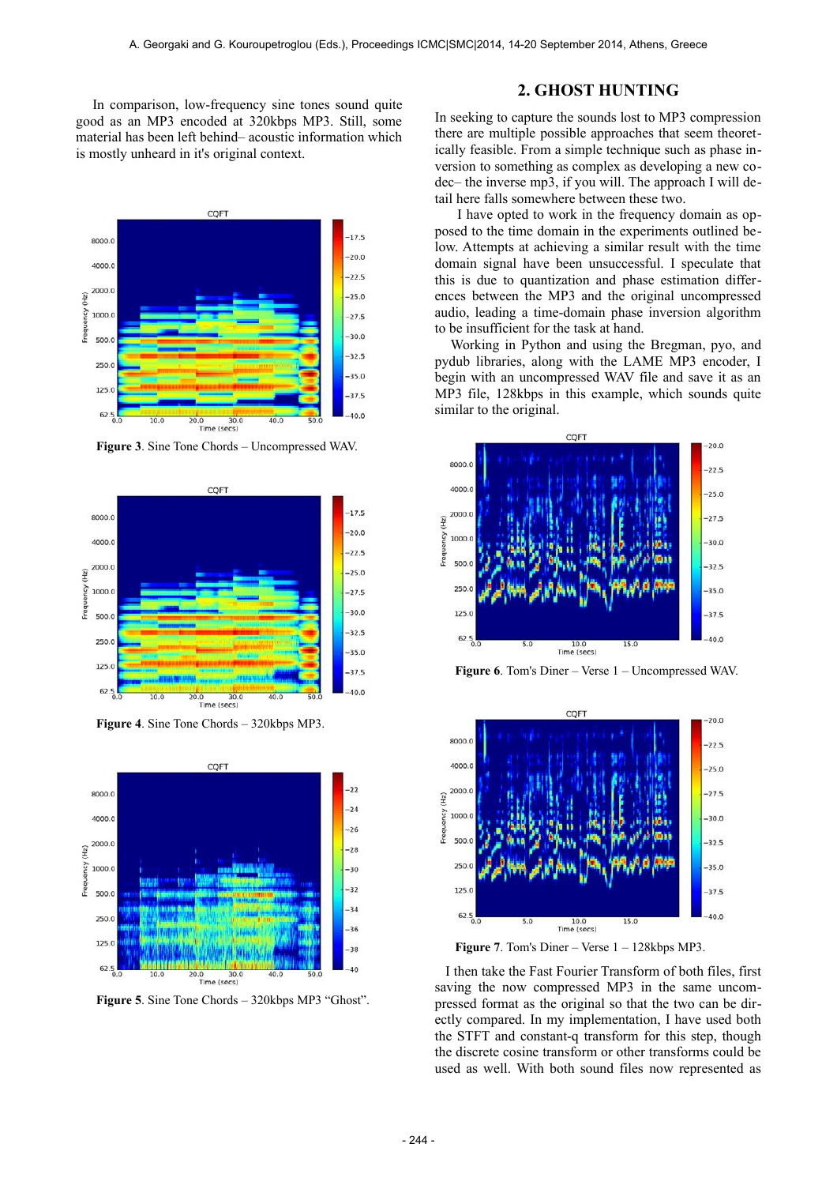In comparison, low-frequency sine tones sound quite good as an MP3 encoded at 320kbps MP3. Still, some material has been left behind– acoustic information which is mostly unheard in it's original context.



**Figure 3**. Sine Tone Chords – Uncompressed WAV.



**Figure 4**. Sine Tone Chords – 320kbps MP3.



**Figure 5**. Sine Tone Chords – 320kbps MP3 "Ghost".

## **2. GHOST HUNTING**

In seeking to capture the sounds lost to MP3 compression there are multiple possible approaches that seem theoretically feasible. From a simple technique such as phase inversion to something as complex as developing a new codec– the inverse mp3, if you will. The approach I will detail here falls somewhere between these two.

 I have opted to work in the frequency domain as opposed to the time domain in the experiments outlined below. Attempts at achieving a similar result with the time domain signal have been unsuccessful. I speculate that this is due to quantization and phase estimation differences between the MP3 and the original uncompressed audio, leading a time-domain phase inversion algorithm to be insufficient for the task at hand.

 Working in Python and using the Bregman, pyo, and pydub libraries, along with the LAME MP3 encoder, I begin with an uncompressed WAV file and save it as an MP3 file, 128kbps in this example, which sounds quite similar to the original.



**Figure 6**. Tom's Diner – Verse 1 – Uncompressed WAV.



Figure 7. Tom's Diner – Verse  $1 - 128$ kbps MP3.

 I then take the Fast Fourier Transform of both files, first saving the now compressed MP3 in the same uncompressed format as the original so that the two can be directly compared. In my implementation, I have used both the STFT and constant-q transform for this step, though the discrete cosine transform or other transforms could be used as well. With both sound files now represented as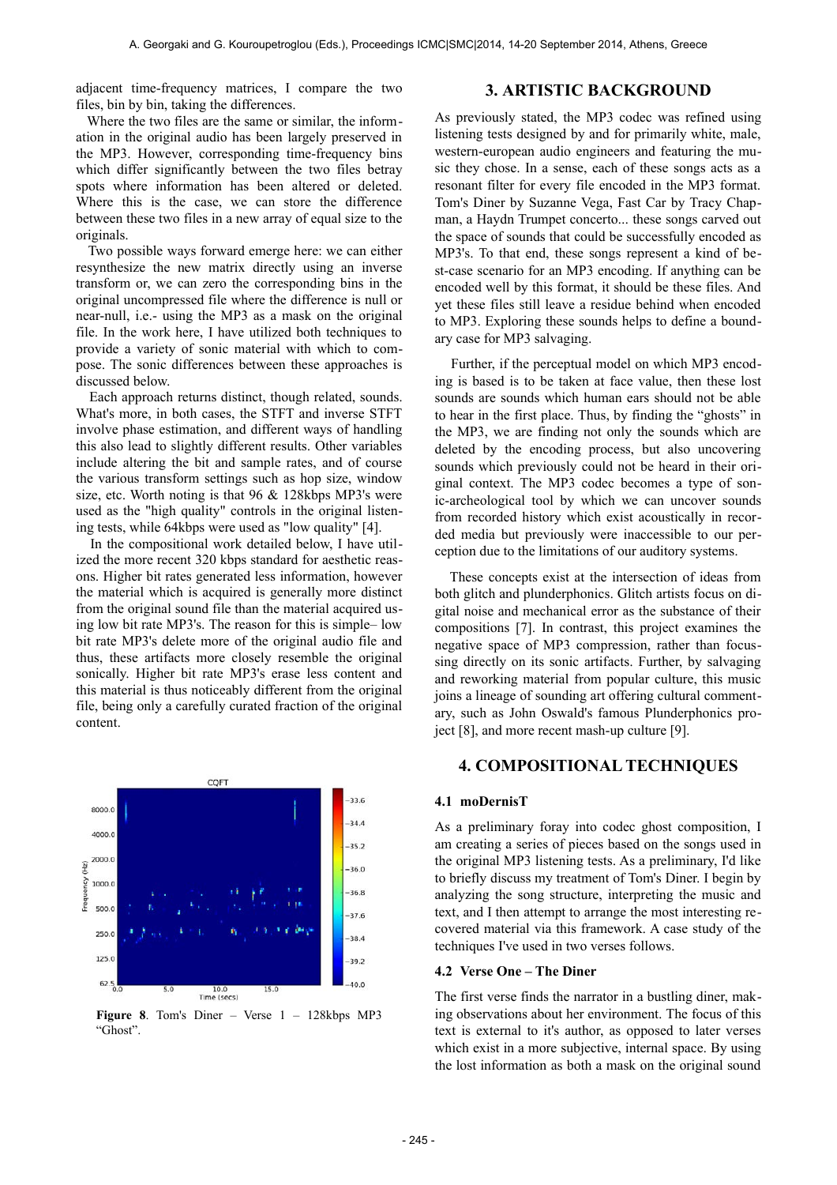adjacent time-frequency matrices, I compare the two files, bin by bin, taking the differences.

## **3. ARTISTIC BACKGROUND**

 Where the two files are the same or similar, the information in the original audio has been largely preserved in the MP3. However, corresponding time-frequency bins which differ significantly between the two files betray spots where information has been altered or deleted. Where this is the case, we can store the difference between these two files in a new array of equal size to the originals.

 Two possible ways forward emerge here: we can either resynthesize the new matrix directly using an inverse transform or, we can zero the corresponding bins in the original uncompressed file where the difference is null or near-null, i.e.- using the MP3 as a mask on the original file. In the work here, I have utilized both techniques to provide a variety of sonic material with which to compose. The sonic differences between these approaches is discussed below.

 Each approach returns distinct, though related, sounds. What's more, in both cases, the STFT and inverse STFT involve phase estimation, and different ways of handling this also lead to slightly different results. Other variables include altering the bit and sample rates, and of course the various transform settings such as hop size, window size, etc. Worth noting is that 96 & 128kbps MP3's were used as the "high quality" controls in the original listening tests, while 64kbps were used as "low quality" [4].

 In the compositional work detailed below, I have utilized the more recent 320 kbps standard for aesthetic reasons. Higher bit rates generated less information, however the material which is acquired is generally more distinct from the original sound file than the material acquired using low bit rate MP3's. The reason for this is simple– low bit rate MP3's delete more of the original audio file and thus, these artifacts more closely resemble the original sonically. Higher bit rate MP3's erase less content and this material is thus noticeably different from the original file, being only a carefully curated fraction of the original content.



**Figure 8.** Tom's Diner – Verse  $1 - 128k$ bps MP3 "Ghost".

As previously stated, the MP3 codec was refined using listening tests designed by and for primarily white, male, western-european audio engineers and featuring the music they chose. In a sense, each of these songs acts as a resonant filter for every file encoded in the MP3 format. Tom's Diner by Suzanne Vega, Fast Car by Tracy Chapman, a Haydn Trumpet concerto... these songs carved out the space of sounds that could be successfully encoded as MP3's. To that end, these songs represent a kind of best-case scenario for an MP3 encoding. If anything can be encoded well by this format, it should be these files. And yet these files still leave a residue behind when encoded to MP3. Exploring these sounds helps to define a boundary case for MP3 salvaging.

 Further, if the perceptual model on which MP3 encoding is based is to be taken at face value, then these lost sounds are sounds which human ears should not be able to hear in the first place. Thus, by finding the "ghosts" in the MP3, we are finding not only the sounds which are deleted by the encoding process, but also uncovering sounds which previously could not be heard in their original context. The MP3 codec becomes a type of sonic-archeological tool by which we can uncover sounds from recorded history which exist acoustically in recorded media but previously were inaccessible to our perception due to the limitations of our auditory systems.

 These concepts exist at the intersection of ideas from both glitch and plunderphonics. Glitch artists focus on digital noise and mechanical error as the substance of their compositions [7]. In contrast, this project examines the negative space of MP3 compression, rather than focussing directly on its sonic artifacts. Further, by salvaging and reworking material from popular culture, this music joins a lineage of sounding art offering cultural commentary, such as John Oswald's famous Plunderphonics project [8], and more recent mash-up culture [9].

# **4. COMPOSITIONAL TECHNIQUES**

#### **4.1 moDernisT**

As a preliminary foray into codec ghost composition, I am creating a series of pieces based on the songs used in the original MP3 listening tests. As a preliminary, I'd like to briefly discuss my treatment of Tom's Diner. I begin by analyzing the song structure, interpreting the music and text, and I then attempt to arrange the most interesting recovered material via this framework. A case study of the techniques I've used in two verses follows.

#### **4.2 Verse One – The Diner**

The first verse finds the narrator in a bustling diner, making observations about her environment. The focus of this text is external to it's author, as opposed to later verses which exist in a more subjective, internal space. By using the lost information as both a mask on the original sound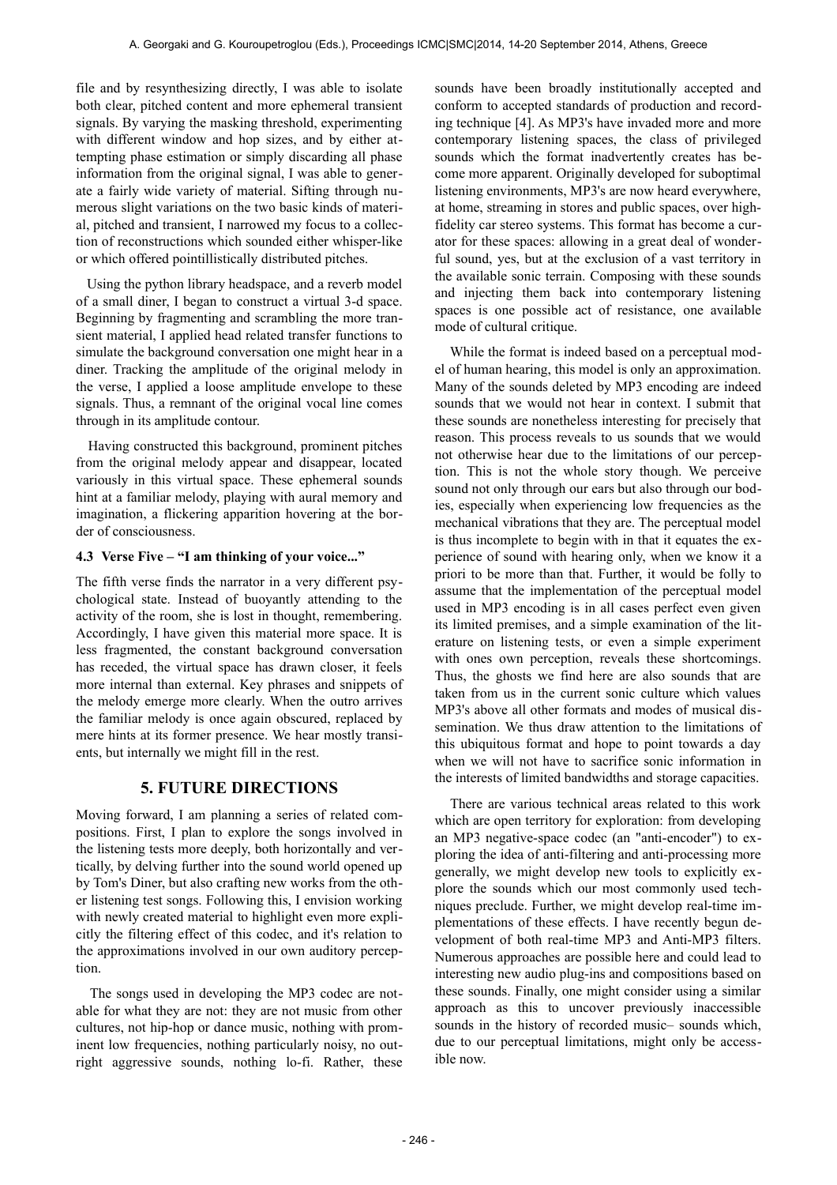file and by resynthesizing directly, I was able to isolate both clear, pitched content and more ephemeral transient signals. By varying the masking threshold, experimenting with different window and hop sizes, and by either attempting phase estimation or simply discarding all phase information from the original signal, I was able to generate a fairly wide variety of material. Sifting through numerous slight variations on the two basic kinds of material, pitched and transient, I narrowed my focus to a collection of reconstructions which sounded either whisper-like or which offered pointillistically distributed pitches.

 Using the python library headspace, and a reverb model of a small diner, I began to construct a virtual 3-d space. Beginning by fragmenting and scrambling the more transient material, I applied head related transfer functions to simulate the background conversation one might hear in a diner. Tracking the amplitude of the original melody in the verse, I applied a loose amplitude envelope to these signals. Thus, a remnant of the original vocal line comes through in its amplitude contour.

 Having constructed this background, prominent pitches from the original melody appear and disappear, located variously in this virtual space. These ephemeral sounds hint at a familiar melody, playing with aural memory and imagination, a flickering apparition hovering at the border of consciousness.

#### **4.3 Verse Five – "I am thinking of your voice..."**

The fifth verse finds the narrator in a very different psychological state. Instead of buoyantly attending to the activity of the room, she is lost in thought, remembering. Accordingly, I have given this material more space. It is less fragmented, the constant background conversation has receded, the virtual space has drawn closer, it feels more internal than external. Key phrases and snippets of the melody emerge more clearly. When the outro arrives the familiar melody is once again obscured, replaced by mere hints at its former presence. We hear mostly transients, but internally we might fill in the rest.

# **5. FUTURE DIRECTIONS**

Moving forward, I am planning a series of related compositions. First, I plan to explore the songs involved in the listening tests more deeply, both horizontally and vertically, by delving further into the sound world opened up by Tom's Diner, but also crafting new works from the other listening test songs. Following this, I envision working with newly created material to highlight even more explicitly the filtering effect of this codec, and it's relation to the approximations involved in our own auditory perception.

 The songs used in developing the MP3 codec are notable for what they are not: they are not music from other cultures, not hip-hop or dance music, nothing with prominent low frequencies, nothing particularly noisy, no outright aggressive sounds, nothing lo-fi. Rather, these sounds have been broadly institutionally accepted and conform to accepted standards of production and recording technique [4]. As MP3's have invaded more and more contemporary listening spaces, the class of privileged sounds which the format inadvertently creates has become more apparent. Originally developed for suboptimal listening environments, MP3's are now heard everywhere, at home, streaming in stores and public spaces, over highfidelity car stereo systems. This format has become a curator for these spaces: allowing in a great deal of wonderful sound, yes, but at the exclusion of a vast territory in the available sonic terrain. Composing with these sounds and injecting them back into contemporary listening spaces is one possible act of resistance, one available mode of cultural critique.

 While the format is indeed based on a perceptual model of human hearing, this model is only an approximation. Many of the sounds deleted by MP3 encoding are indeed sounds that we would not hear in context. I submit that these sounds are nonetheless interesting for precisely that reason. This process reveals to us sounds that we would not otherwise hear due to the limitations of our perception. This is not the whole story though. We perceive sound not only through our ears but also through our bodies, especially when experiencing low frequencies as the mechanical vibrations that they are. The perceptual model is thus incomplete to begin with in that it equates the experience of sound with hearing only, when we know it a priori to be more than that. Further, it would be folly to assume that the implementation of the perceptual model used in MP3 encoding is in all cases perfect even given its limited premises, and a simple examination of the literature on listening tests, or even a simple experiment with ones own perception, reveals these shortcomings. Thus, the ghosts we find here are also sounds that are taken from us in the current sonic culture which values MP3's above all other formats and modes of musical dissemination. We thus draw attention to the limitations of this ubiquitous format and hope to point towards a day when we will not have to sacrifice sonic information in the interests of limited bandwidths and storage capacities.

 There are various technical areas related to this work which are open territory for exploration: from developing an MP3 negative-space codec (an "anti-encoder") to exploring the idea of anti-filtering and anti-processing more generally, we might develop new tools to explicitly explore the sounds which our most commonly used techniques preclude. Further, we might develop real-time implementations of these effects. I have recently begun development of both real-time MP3 and Anti-MP3 filters. Numerous approaches are possible here and could lead to interesting new audio plug-ins and compositions based on these sounds. Finally, one might consider using a similar approach as this to uncover previously inaccessible sounds in the history of recorded music– sounds which, due to our perceptual limitations, might only be accessible now.